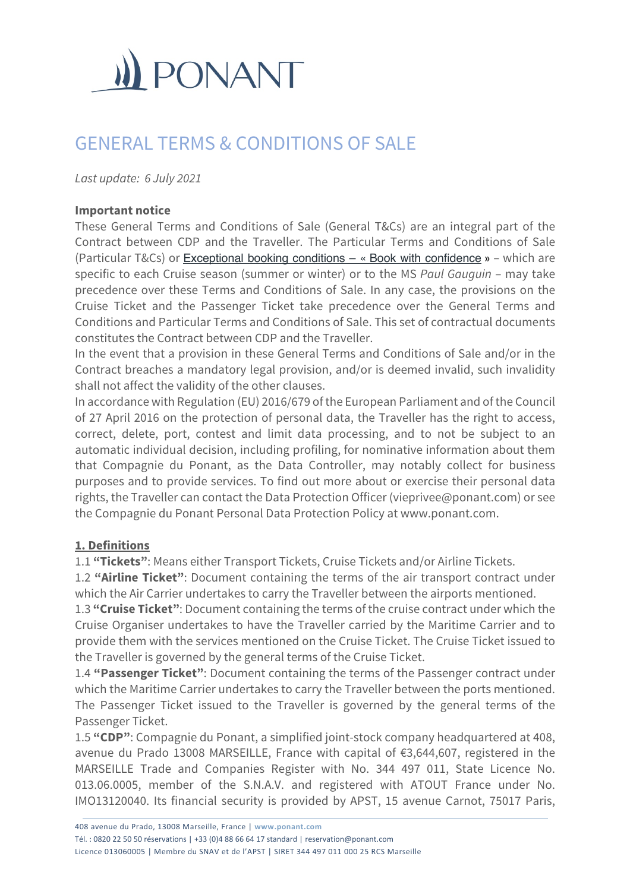

# GENERAL TERMS & CONDITIONS OF SALE

*Last update: 6 July 2021*

#### **Important notice**

These General Terms and Conditions of Sale (General T&Cs) are an integral part of the Contract between CDP and the Traveller. The Particular Terms and Conditions of Sale (Particular T&Cs) or Exceptional booking conditions – « Book with confidence » – which are specific to each Cruise season (summer or winter) or to the MS *Paul Gauguin* – may take precedence over these Terms and Conditions of Sale. In any case, the provisions on the Cruise Ticket and the Passenger Ticket take precedence over the General Terms and Conditions and Particular Terms and Conditions of Sale. This set of contractual documents constitutes the Contract between CDP and the Traveller.

In the event that a provision in these General Terms and Conditions of Sale and/or in the Contract breaches a mandatory legal provision, and/or is deemed invalid, such invalidity shall not affect the validity of the other clauses.

In accordance with Regulation (EU) 2016/679 of the European Parliament and of the Council of 27 April 2016 on the protection of personal data, the Traveller has the right to access, correct, delete, port, contest and limit data processing, and to not be subject to an automatic individual decision, including profiling, for nominative information about them that Compagnie du Ponant, as the Data Controller, may notably collect for business purposes and to provide services. To find out more about or exercise their personal data rights, the Traveller can contact the Data Protection Officer (vieprivee@ponant.com) or see the Compagnie du Ponant Personal Data Protection Policy at www.ponant.com.

#### **1. Definitions**

1.1 **"Tickets"**: Means either Transport Tickets, Cruise Tickets and/or Airline Tickets.

1.2 **"Airline Ticket"**: Document containing the terms of the air transport contract under which the Air Carrier undertakes to carry the Traveller between the airports mentioned.

1.3 **"Cruise Ticket"**: Document containing the terms of the cruise contract under which the Cruise Organiser undertakes to have the Traveller carried by the Maritime Carrier and to provide them with the services mentioned on the Cruise Ticket. The Cruise Ticket issued to the Traveller is governed by the general terms of the Cruise Ticket.

1.4 **"Passenger Ticket"**: Document containing the terms of the Passenger contract under which the Maritime Carrier undertakes to carry the Traveller between the ports mentioned. The Passenger Ticket issued to the Traveller is governed by the general terms of the Passenger Ticket.

1.5 **"CDP"**: Compagnie du Ponant, a simplified joint-stock company headquartered at 408, avenue du Prado 13008 MARSEILLE, France with capital of €3,644,607, registered in the MARSEILLE Trade and Companies Register with No. 344 497 011, State Licence No. 013.06.0005, member of the S.N.A.V. and registered with ATOUT France under No. IMO13120040. Its financial security is provided by APST, 15 avenue Carnot, 75017 Paris,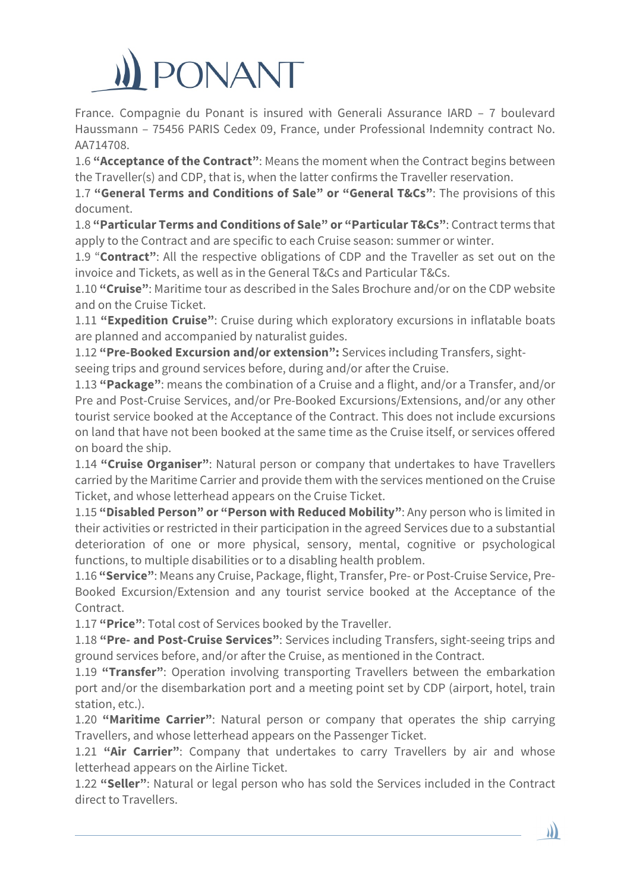# ONANT

France. Compagnie du Ponant is insured with Generali Assurance IARD – 7 boulevard Haussmann – 75456 PARIS Cedex 09, France, under Professional Indemnity contract No. AA714708.

1.6 **"Acceptance of the Contract"**: Means the moment when the Contract begins between the Traveller(s) and CDP, that is, when the latter confirms the Traveller reservation.

1.7 **"General Terms and Conditions of Sale" or "General T&Cs"**: The provisions of this document.

1.8 **"Particular Terms and Conditions of Sale" or "Particular T&Cs"**: Contract terms that apply to the Contract and are specific to each Cruise season: summer or winter.

1.9 "**Contract"**: All the respective obligations of CDP and the Traveller as set out on the invoice and Tickets, as well as in the General T&Cs and Particular T&Cs.

1.10 **"Cruise"**: Maritime tour as described in the Sales Brochure and/or on the CDP website and on the Cruise Ticket.

1.11 **"Expedition Cruise"**: Cruise during which exploratory excursions in inflatable boats are planned and accompanied by naturalist guides.

1.12 **"Pre-Booked Excursion and/or extension":** Services including Transfers, sightseeing trips and ground services before, during and/or after the Cruise.

1.13 **"Package"**: means the combination of a Cruise and a flight, and/or a Transfer, and/or Pre and Post-Cruise Services, and/or Pre-Booked Excursions/Extensions, and/or any other tourist service booked at the Acceptance of the Contract. This does not include excursions on land that have not been booked at the same time as the Cruise itself, or services offered on board the ship.

1.14 **"Cruise Organiser"**: Natural person or company that undertakes to have Travellers carried by the Maritime Carrier and provide them with the services mentioned on the Cruise Ticket, and whose letterhead appears on the Cruise Ticket.

1.15 **"Disabled Person" or "Person with Reduced Mobility"**: Any person who is limited in their activities or restricted in their participation in the agreed Services due to a substantial deterioration of one or more physical, sensory, mental, cognitive or psychological functions, to multiple disabilities or to a disabling health problem.

1.16 **"Service"**: Means any Cruise, Package, flight, Transfer, Pre- or Post-Cruise Service, Pre-Booked Excursion/Extension and any tourist service booked at the Acceptance of the Contract.

1.17 **"Price"**: Total cost of Services booked by the Traveller.

1.18 **"Pre- and Post-Cruise Services"**: Services including Transfers, sight-seeing trips and ground services before, and/or after the Cruise, as mentioned in the Contract.

1.19 **"Transfer"**: Operation involving transporting Travellers between the embarkation port and/or the disembarkation port and a meeting point set by CDP (airport, hotel, train station, etc.).

1.20 **"Maritime Carrier"**: Natural person or company that operates the ship carrying Travellers, and whose letterhead appears on the Passenger Ticket.

1.21 **"Air Carrier"**: Company that undertakes to carry Travellers by air and whose letterhead appears on the Airline Ticket.

1.22 **"Seller"**: Natural or legal person who has sold the Services included in the Contract direct to Travellers.

)))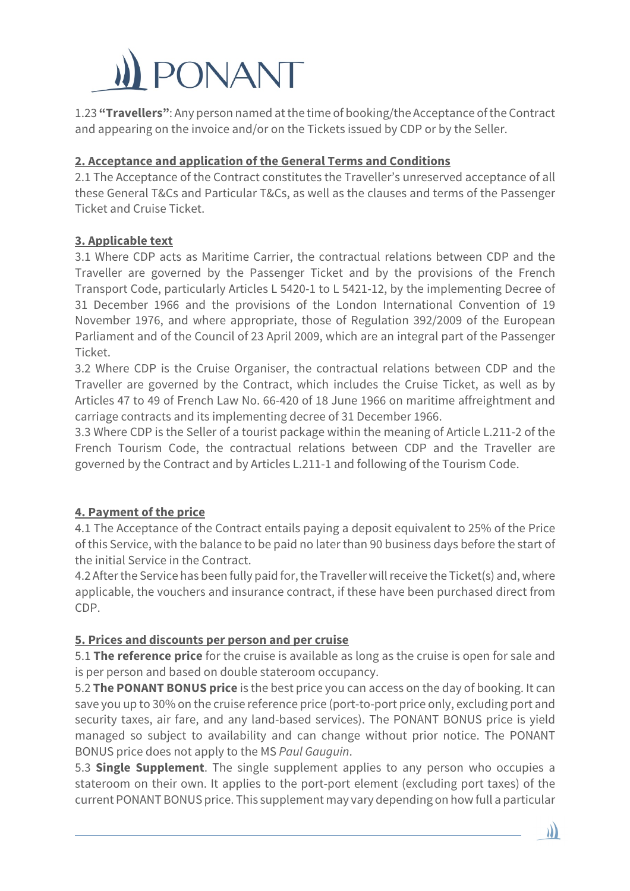

1.23 **"Travellers"**: Any person named at the time of booking/the Acceptance of the Contract and appearing on the invoice and/or on the Tickets issued by CDP or by the Seller.

## **2. Acceptance and application of the General Terms and Conditions**

2.1 The Acceptance of the Contract constitutes the Traveller's unreserved acceptance of all these General T&Cs and Particular T&Cs, as well as the clauses and terms of the Passenger Ticket and Cruise Ticket.

### **3. Applicable text**

3.1 Where CDP acts as Maritime Carrier, the contractual relations between CDP and the Traveller are governed by the Passenger Ticket and by the provisions of the French Transport Code, particularly Articles L 5420-1 to L 5421-12, by the implementing Decree of 31 December 1966 and the provisions of the London International Convention of 19 November 1976, and where appropriate, those of Regulation 392/2009 of the European Parliament and of the Council of 23 April 2009, which are an integral part of the Passenger Ticket.

3.2 Where CDP is the Cruise Organiser, the contractual relations between CDP and the Traveller are governed by the Contract, which includes the Cruise Ticket, as well as by Articles 47 to 49 of French Law No. 66-420 of 18 June 1966 on maritime affreightment and carriage contracts and its implementing decree of 31 December 1966.

3.3 Where CDP is the Seller of a tourist package within the meaning of Article L.211-2 of the French Tourism Code, the contractual relations between CDP and the Traveller are governed by the Contract and by Articles L.211-1 and following of the Tourism Code.

# **4. Payment of the price**

4.1 The Acceptance of the Contract entails paying a deposit equivalent to 25% of the Price of this Service, with the balance to be paid no later than 90 business days before the start of the initial Service in the Contract.

4.2 After the Service has been fully paid for, the Traveller will receive the Ticket(s) and, where applicable, the vouchers and insurance contract, if these have been purchased direct from CDP.

# **5. Prices and discounts per person and per cruise**

5.1 **The reference price** for the cruise is available as long as the cruise is open for sale and is per person and based on double stateroom occupancy.

5.2 **The PONANT BONUS price** is the best price you can access on the day of booking. It can save you up to 30% on the cruise reference price (port-to-port price only, excluding port and security taxes, air fare, and any land-based services). The PONANT BONUS price is yield managed so subject to availability and can change without prior notice. The PONANT BONUS price does not apply to the MS *Paul Gauguin*.

5.3 **Single Supplement**. The single supplement applies to any person who occupies a stateroom on their own. It applies to the port-port element (excluding port taxes) of the current PONANT BONUS price. This supplement may vary depending on how full a particular

IJ)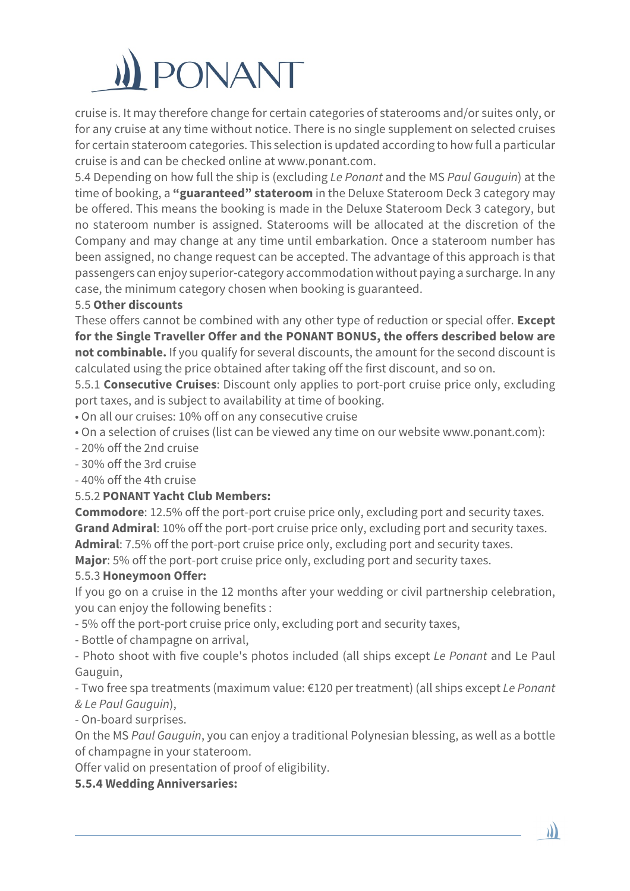# **PONANT**

cruise is. It may therefore change for certain categories of staterooms and/or suites only, or for any cruise at any time without notice. There is no single supplement on selected cruises for certain stateroom categories. This selection is updated according to how full a particular cruise is and can be checked online at www.ponant.com.

5.4 Depending on how full the ship is (excluding *Le Ponant* and the MS *Paul Gauguin*) at the time of booking, a **"guaranteed" stateroom** in the Deluxe Stateroom Deck 3 category may be offered. This means the booking is made in the Deluxe Stateroom Deck 3 category, but no stateroom number is assigned. Staterooms will be allocated at the discretion of the Company and may change at any time until embarkation. Once a stateroom number has been assigned, no change request can be accepted. The advantage of this approach is that passengers can enjoy superior-category accommodation without paying a surcharge. In any case, the minimum category chosen when booking is guaranteed.

# 5.5 **Other discounts**

These offers cannot be combined with any other type of reduction or special offer. **Except for the Single Traveller Offer and the PONANT BONUS, the offers described below are not combinable.** If you qualify for several discounts, the amount for the second discount is calculated using the price obtained after taking off the first discount, and so on.

5.5.1 **Consecutive Cruises**: Discount only applies to port-port cruise price only, excluding port taxes, and is subject to availability at time of booking.

- On all our cruises: 10% off on any consecutive cruise
- On a selection of cruises (list can be viewed any time on our website www.ponant.com):
- 20% off the 2nd cruise
- 30% off the 3rd cruise
- 40% off the 4th cruise

# 5.5.2 **PONANT Yacht Club Members:**

**Commodore**: 12.5% off the port-port cruise price only, excluding port and security taxes. **Grand Admiral**: 10% off the port-port cruise price only, excluding port and security taxes. **Admiral**: 7.5% off the port-port cruise price only, excluding port and security taxes.

**Major**: 5% off the port-port cruise price only, excluding port and security taxes.

# 5.5.3 **Honeymoon Offer:**

If you go on a cruise in the 12 months after your wedding or civil partnership celebration, you can enjoy the following benefits :

- 5% off the port-port cruise price only, excluding port and security taxes,

- Bottle of champagne on arrival,

- Photo shoot with five couple's photos included (all ships except *Le Ponant* and Le Paul Gauguin,

- Two free spa treatments (maximum value: €120 per treatment) (all ships except *Le Ponant & Le Paul Gauguin*),

- On-board surprises.

On the MS *Paul Gauguin*, you can enjoy a traditional Polynesian blessing, as well as a bottle of champagne in your stateroom.

Offer valid on presentation of proof of eligibility.

# **5.5.4 Wedding Anniversaries:**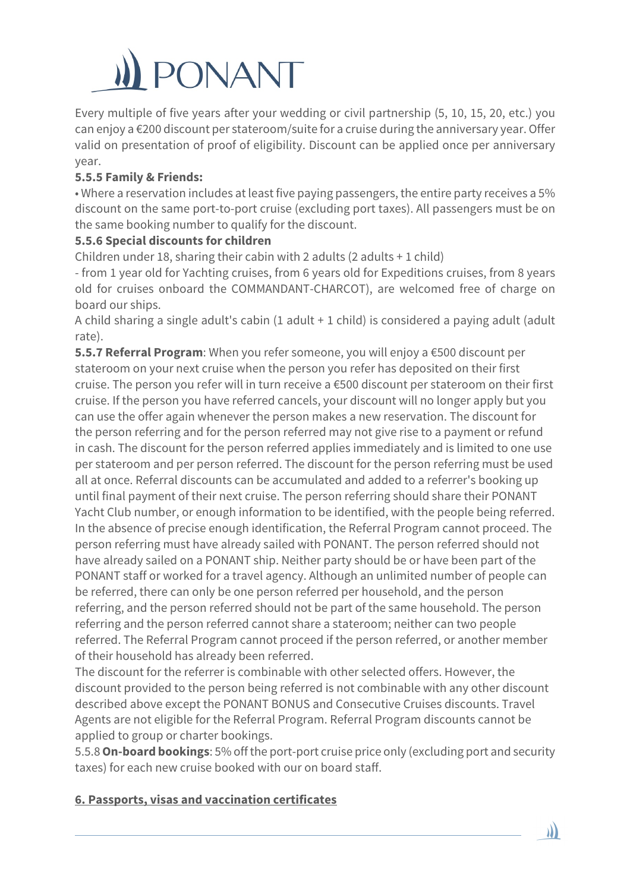# **PONANT**

Every multiple of five years after your wedding or civil partnership (5, 10, 15, 20, etc.) you can enjoy a €200 discount per stateroom/suite for a cruise during the anniversary year. Offer valid on presentation of proof of eligibility. Discount can be applied once per anniversary year.

# **5.5.5 Family & Friends:**

• Where a reservation includes at least five paying passengers, the entire party receives a 5% discount on the same port-to-port cruise (excluding port taxes). All passengers must be on the same booking number to qualify for the discount.

# **5.5.6 Special discounts for children**

Children under 18, sharing their cabin with 2 adults  $(2 \text{ adults} + 1 \text{ child})$ 

- from 1 year old for Yachting cruises, from 6 years old for Expeditions cruises, from 8 years old for cruises onboard the COMMANDANT-CHARCOT), are welcomed free of charge on board our ships.

A child sharing a single adult's cabin (1 adult + 1 child) is considered a paying adult (adult rate).

**5.5.7 Referral Program**: When you refer someone, you will enjoy a €500 discount per stateroom on your next cruise when the person you refer has deposited on their first cruise. The person you refer will in turn receive a €500 discount per stateroom on their first cruise. If the person you have referred cancels, your discount will no longer apply but you can use the offer again whenever the person makes a new reservation. The discount for the person referring and for the person referred may not give rise to a payment or refund in cash. The discount for the person referred applies immediately and is limited to one use per stateroom and per person referred. The discount for the person referring must be used all at once. Referral discounts can be accumulated and added to a referrer's booking up until final payment of their next cruise. The person referring should share their PONANT Yacht Club number, or enough information to be identified, with the people being referred. In the absence of precise enough identification, the Referral Program cannot proceed. The person referring must have already sailed with PONANT. The person referred should not have already sailed on a PONANT ship. Neither party should be or have been part of the PONANT staff or worked for a travel agency. Although an unlimited number of people can be referred, there can only be one person referred per household, and the person referring, and the person referred should not be part of the same household. The person referring and the person referred cannot share a stateroom; neither can two people referred. The Referral Program cannot proceed if the person referred, or another member of their household has already been referred.

The discount for the referrer is combinable with other selected offers. However, the discount provided to the person being referred is not combinable with any other discount described above except the PONANT BONUS and Consecutive Cruises discounts. Travel Agents are not eligible for the Referral Program. Referral Program discounts cannot be applied to group or charter bookings.

5.5.8**On-board bookings**: 5% off the port-port cruise price only (excluding port and security taxes) for each new cruise booked with our on board staff.

 $\mathbf{y}$ 

# **6. Passports, visas and vaccination certificates**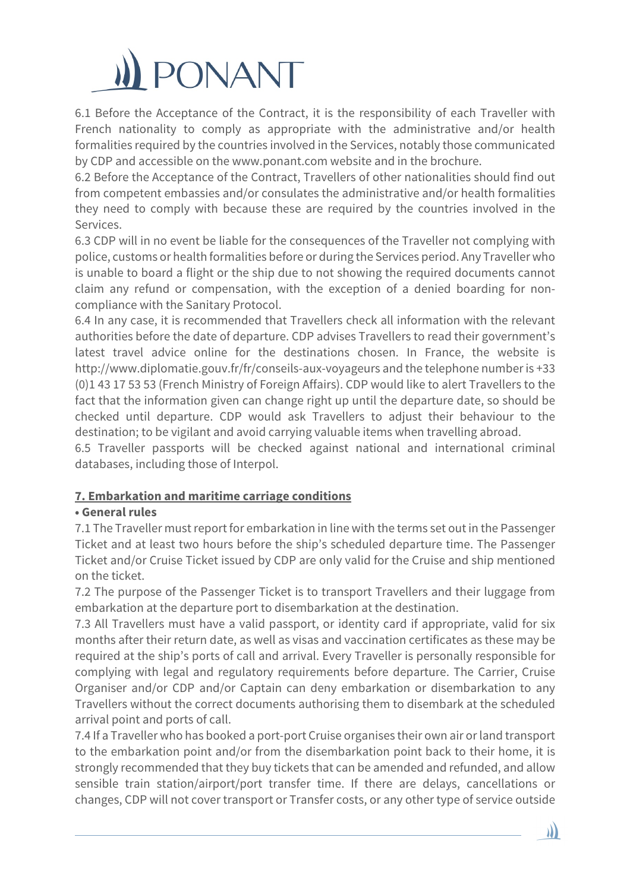

6.1 Before the Acceptance of the Contract, it is the responsibility of each Traveller with French nationality to comply as appropriate with the administrative and/or health formalities required by the countries involved in the Services, notably those communicated by CDP and accessible on the www.ponant.com website and in the brochure.

6.2 Before the Acceptance of the Contract, Travellers of other nationalities should find out from competent embassies and/or consulates the administrative and/or health formalities they need to comply with because these are required by the countries involved in the Services.

6.3 CDP will in no event be liable for the consequences of the Traveller not complying with police, customs or health formalities before or during the Services period. Any Traveller who is unable to board a flight or the ship due to not showing the required documents cannot claim any refund or compensation, with the exception of a denied boarding for noncompliance with the Sanitary Protocol.

6.4 In any case, it is recommended that Travellers check all information with the relevant authorities before the date of departure. CDP advises Travellers to read their government's latest travel advice online for the destinations chosen. In France, the website is http://www.diplomatie.gouv.fr/fr/conseils-aux-voyageurs and the telephone number is +33 (0)1 43 17 53 53 (French Ministry of Foreign Affairs). CDP would like to alert Travellers to the fact that the information given can change right up until the departure date, so should be checked until departure. CDP would ask Travellers to adjust their behaviour to the destination; to be vigilant and avoid carrying valuable items when travelling abroad.

6.5 Traveller passports will be checked against national and international criminal databases, including those of Interpol.

# **7. Embarkation and maritime carriage conditions**

#### **• General rules**

7.1 The Traveller must report for embarkation in line with the terms set out in the Passenger Ticket and at least two hours before the ship's scheduled departure time. The Passenger Ticket and/or Cruise Ticket issued by CDP are only valid for the Cruise and ship mentioned on the ticket.

7.2 The purpose of the Passenger Ticket is to transport Travellers and their luggage from embarkation at the departure port to disembarkation at the destination.

7.3 All Travellers must have a valid passport, or identity card if appropriate, valid for six months after their return date, as well as visas and vaccination certificates as these may be required at the ship's ports of call and arrival. Every Traveller is personally responsible for complying with legal and regulatory requirements before departure. The Carrier, Cruise Organiser and/or CDP and/or Captain can deny embarkation or disembarkation to any Travellers without the correct documents authorising them to disembark at the scheduled arrival point and ports of call.

7.4 If a Traveller who has booked a port-port Cruise organises their own air or land transport to the embarkation point and/or from the disembarkation point back to their home, it is strongly recommended that they buy tickets that can be amended and refunded, and allow sensible train station/airport/port transfer time. If there are delays, cancellations or changes, CDP will not cover transport or Transfer costs, or any other type of service outside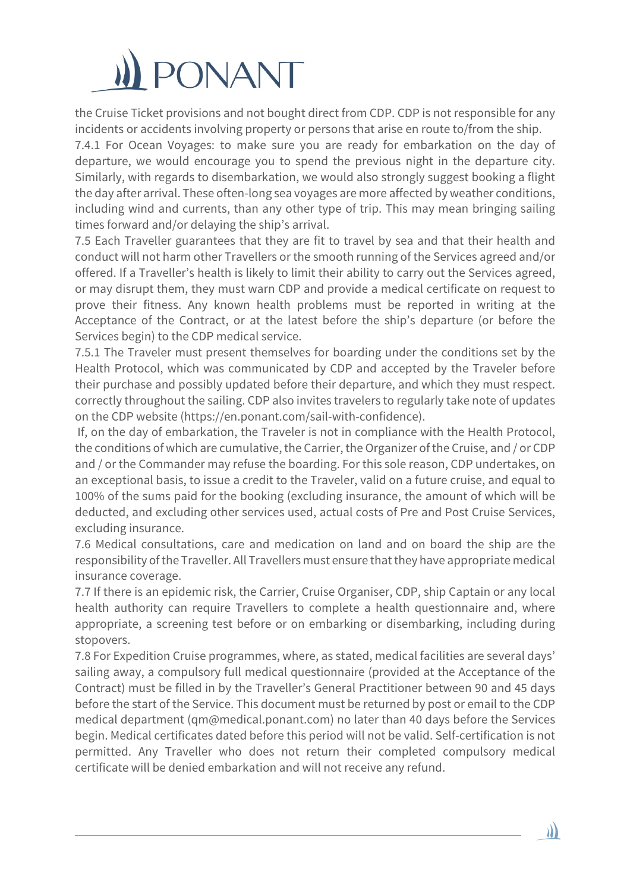

the Cruise Ticket provisions and not bought direct from CDP. CDP is not responsible for any incidents or accidents involving property or persons that arise en route to/from the ship.

7.4.1 For Ocean Voyages: to make sure you are ready for embarkation on the day of departure, we would encourage you to spend the previous night in the departure city. Similarly, with regards to disembarkation, we would also strongly suggest booking a flight the day after arrival. These often-long sea voyages are more affected by weather conditions, including wind and currents, than any other type of trip. This may mean bringing sailing times forward and/or delaying the ship's arrival.

7.5 Each Traveller guarantees that they are fit to travel by sea and that their health and conduct will not harm other Travellers or the smooth running of the Services agreed and/or offered. If a Traveller's health is likely to limit their ability to carry out the Services agreed, or may disrupt them, they must warn CDP and provide a medical certificate on request to prove their fitness. Any known health problems must be reported in writing at the Acceptance of the Contract, or at the latest before the ship's departure (or before the Services begin) to the CDP medical service.

7.5.1 The Traveler must present themselves for boarding under the conditions set by the Health Protocol, which was communicated by CDP and accepted by the Traveler before their purchase and possibly updated before their departure, and which they must respect. correctly throughout the sailing. CDP also invites travelers to regularly take note of updates on the CDP website (https://en.ponant.com/sail-with-confidence).

If, on the day of embarkation, the Traveler is not in compliance with the Health Protocol, the conditions of which are cumulative, the Carrier, the Organizer of the Cruise, and / or CDP and / or the Commander may refuse the boarding. For this sole reason, CDP undertakes, on an exceptional basis, to issue a credit to the Traveler, valid on a future cruise, and equal to 100% of the sums paid for the booking (excluding insurance, the amount of which will be deducted, and excluding other services used, actual costs of Pre and Post Cruise Services, excluding insurance.

7.6 Medical consultations, care and medication on land and on board the ship are the responsibility of the Traveller. All Travellers must ensure that they have appropriate medical insurance coverage.

7.7 If there is an epidemic risk, the Carrier, Cruise Organiser, CDP, ship Captain or any local health authority can require Travellers to complete a health questionnaire and, where appropriate, a screening test before or on embarking or disembarking, including during stopovers.

7.8 For Expedition Cruise programmes, where, as stated, medical facilities are several days' sailing away, a compulsory full medical questionnaire (provided at the Acceptance of the Contract) must be filled in by the Traveller's General Practitioner between 90 and 45 days before the start of the Service. This document must be returned by post or email to the CDP medical department (qm@medical.ponant.com) no later than 40 days before the Services begin. Medical certificates dated before this period will not be valid. Self-certification is not permitted. Any Traveller who does not return their completed compulsory medical certificate will be denied embarkation and will not receive any refund.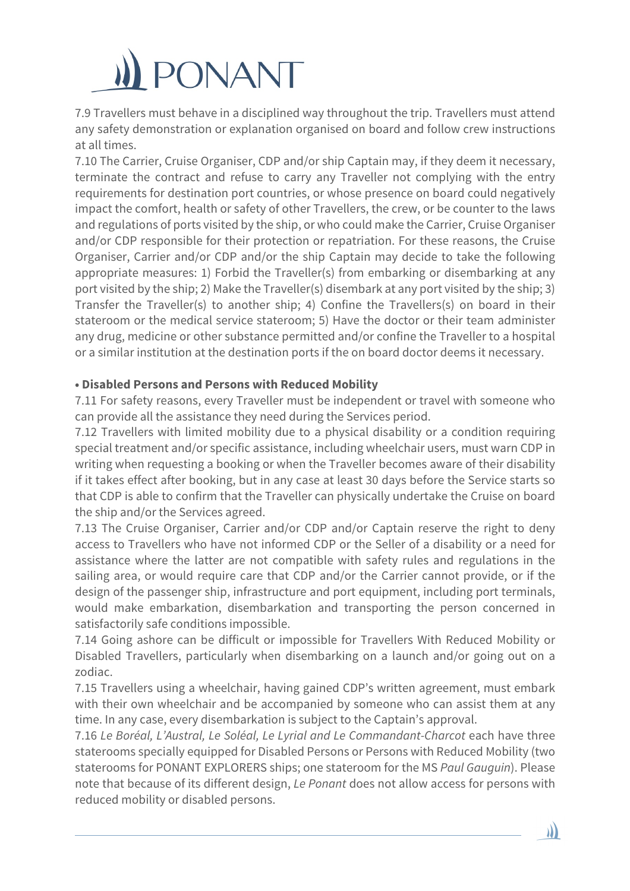

7.9 Travellers must behave in a disciplined way throughout the trip. Travellers must attend any safety demonstration or explanation organised on board and follow crew instructions at all times.

7.10 The Carrier, Cruise Organiser, CDP and/or ship Captain may, if they deem it necessary, terminate the contract and refuse to carry any Traveller not complying with the entry requirements for destination port countries, or whose presence on board could negatively impact the comfort, health or safety of other Travellers, the crew, or be counter to the laws and regulations of ports visited by the ship, or who could make the Carrier, Cruise Organiser and/or CDP responsible for their protection or repatriation. For these reasons, the Cruise Organiser, Carrier and/or CDP and/or the ship Captain may decide to take the following appropriate measures: 1) Forbid the Traveller(s) from embarking or disembarking at any port visited by the ship; 2) Make the Traveller(s) disembark at any port visited by the ship; 3) Transfer the Traveller(s) to another ship; 4) Confine the Travellers(s) on board in their stateroom or the medical service stateroom; 5) Have the doctor or their team administer any drug, medicine or other substance permitted and/or confine the Traveller to a hospital or a similar institution at the destination ports if the on board doctor deems it necessary.

#### **• Disabled Persons and Persons with Reduced Mobility**

7.11 For safety reasons, every Traveller must be independent or travel with someone who can provide all the assistance they need during the Services period.

7.12 Travellers with limited mobility due to a physical disability or a condition requiring special treatment and/or specific assistance, including wheelchair users, must warn CDP in writing when requesting a booking or when the Traveller becomes aware of their disability if it takes effect after booking, but in any case at least 30 days before the Service starts so that CDP is able to confirm that the Traveller can physically undertake the Cruise on board the ship and/or the Services agreed.

7.13 The Cruise Organiser, Carrier and/or CDP and/or Captain reserve the right to deny access to Travellers who have not informed CDP or the Seller of a disability or a need for assistance where the latter are not compatible with safety rules and regulations in the sailing area, or would require care that CDP and/or the Carrier cannot provide, or if the design of the passenger ship, infrastructure and port equipment, including port terminals, would make embarkation, disembarkation and transporting the person concerned in satisfactorily safe conditions impossible.

7.14 Going ashore can be difficult or impossible for Travellers With Reduced Mobility or Disabled Travellers, particularly when disembarking on a launch and/or going out on a zodiac.

7.15 Travellers using a wheelchair, having gained CDP's written agreement, must embark with their own wheelchair and be accompanied by someone who can assist them at any time. In any case, every disembarkation is subject to the Captain's approval.

7.16 *Le Boréal, L'Austral, Le Soléal, Le Lyrial and Le Commandant-Charcot* each have three staterooms specially equipped for Disabled Persons or Persons with Reduced Mobility (two staterooms for PONANT EXPLORERS ships; one stateroom for the MS *Paul Gauguin*). Please note that because of its different design, *Le Ponant* does not allow access for persons with reduced mobility or disabled persons.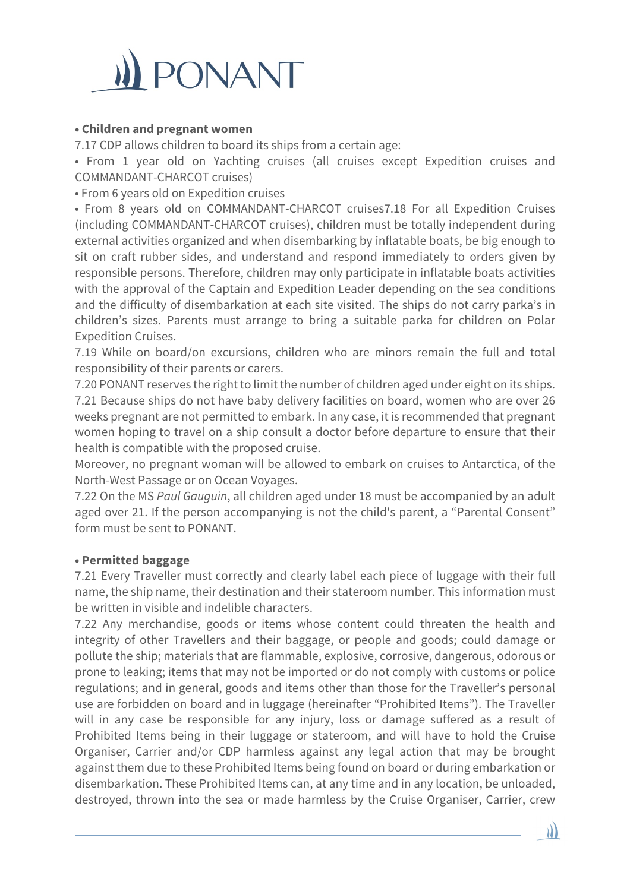

### **• Children and pregnant women**

7.17 CDP allows children to board its ships from a certain age:

• From 1 year old on Yachting cruises (all cruises except Expedition cruises and COMMANDANT-CHARCOT cruises)

• From 6 years old on Expedition cruises

• From 8 years old on COMMANDANT-CHARCOT cruises7.18 For all Expedition Cruises (including COMMANDANT-CHARCOT cruises), children must be totally independent during external activities organized and when disembarking by inflatable boats, be big enough to sit on craft rubber sides, and understand and respond immediately to orders given by responsible persons. Therefore, children may only participate in inflatable boats activities with the approval of the Captain and Expedition Leader depending on the sea conditions and the difficulty of disembarkation at each site visited. The ships do not carry parka's in children's sizes. Parents must arrange to bring a suitable parka for children on Polar Expedition Cruises.

7.19 While on board/on excursions, children who are minors remain the full and total responsibility of their parents or carers.

7.20 PONANT reserves the right to limit the number of children aged under eight on its ships. 7.21 Because ships do not have baby delivery facilities on board, women who are over 26 weeks pregnant are not permitted to embark. In any case, it is recommended that pregnant women hoping to travel on a ship consult a doctor before departure to ensure that their health is compatible with the proposed cruise.

Moreover, no pregnant woman will be allowed to embark on cruises to Antarctica, of the North-West Passage or on Ocean Voyages.

7.22 On the MS *Paul Gauguin*, all children aged under 18 must be accompanied by an adult aged over 21. If the person accompanying is not the child's parent, a "Parental Consent" form must be sent to PONANT.

#### **• Permitted baggage**

7.21 Every Traveller must correctly and clearly label each piece of luggage with their full name, the ship name, their destination and their stateroom number. This information must be written in visible and indelible characters.

7.22 Any merchandise, goods or items whose content could threaten the health and integrity of other Travellers and their baggage, or people and goods; could damage or pollute the ship; materials that are flammable, explosive, corrosive, dangerous, odorous or prone to leaking; items that may not be imported or do not comply with customs or police regulations; and in general, goods and items other than those for the Traveller's personal use are forbidden on board and in luggage (hereinafter "Prohibited Items"). The Traveller will in any case be responsible for any injury, loss or damage suffered as a result of Prohibited Items being in their luggage or stateroom, and will have to hold the Cruise Organiser, Carrier and/or CDP harmless against any legal action that may be brought against them due to these Prohibited Items being found on board or during embarkation or disembarkation. These Prohibited Items can, at any time and in any location, be unloaded, destroyed, thrown into the sea or made harmless by the Cruise Organiser, Carrier, crew

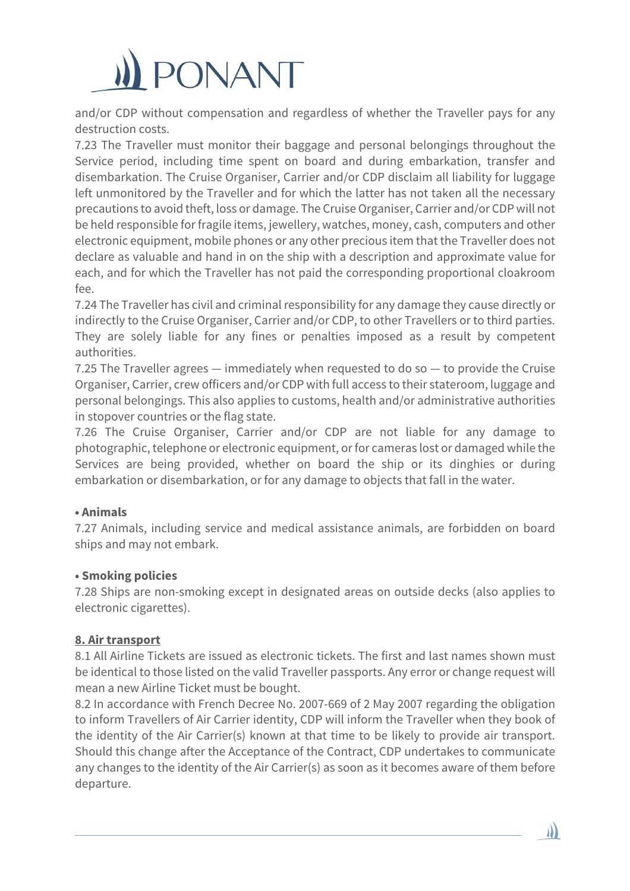

and/or CDP without compensation and regardless of whether the Traveller pays for any destruction costs.

7.23 The Traveller must monitor their baggage and personal belongings throughout the Service period, including time spent on board and during embarkation, transfer and disembarkation. The Cruise Organiser, Carrier and/or CDP disclaim all liability for luggage left unmonitored by the Traveller and for which the latter has not taken all the necessary precautions to avoid theft, loss or damage. The Cruise Organiser, Carrier and/or CDP will not be held responsible for fragile items, jewellery, watches, money, cash, computers and other electronic equipment, mobile phones or any other precious item that the Traveller does not declare as valuable and hand in on the ship with a description and approximate value for each, and for which the Traveller has not paid the corresponding proportional cloakroom fee.

7.24 The Traveller has civil and criminal responsibility for any damage they cause directly or indirectly to the Cruise Organiser, Carrier and/or CDP, to other Travellers or to third parties. They are solely liable for any fines or penalties imposed as a result by competent authorities.

7.25 The Traveller agrees — immediately when requested to do so — to provide the Cruise Organiser, Carrier, crew officers and/or CDP with full access to their stateroom, luggage and personal belongings. This also applies to customs, health and/or administrative authorities in stopover countries or the flag state.

7.26 The Cruise Organiser, Carrier and/or CDP are not liable for any damage to photographic, telephone or electronic equipment, or for cameras lost or damaged while the Services are being provided, whether on board the ship or its dinghies or during embarkation or disembarkation, or for any damage to objects that fall in the water.

#### **• Animals**

7.27 Animals, including service and medical assistance animals, are forbidden on board ships and may not embark.

#### **• Smoking policies**

7.28 Ships are non-smoking except in designated areas on outside decks (also applies to electronic cigarettes).

#### **8. Air transport**

8.1 All Airline Tickets are issued as electronic tickets. The first and last names shown must be identical to those listed on the valid Traveller passports. Any error or change request will mean a new Airline Ticket must be bought.

8.2 In accordance with French Decree No. 2007-669 of 2 May 2007 regarding the obligation to inform Travellers of Air Carrier identity, CDP will inform the Traveller when they book of the identity of the Air Carrier(s) known at that time to be likely to provide air transport. Should this change after the Acceptance of the Contract, CDP undertakes to communicate any changes to the identity of the Air Carrier(s) as soon as it becomes aware of them before departure.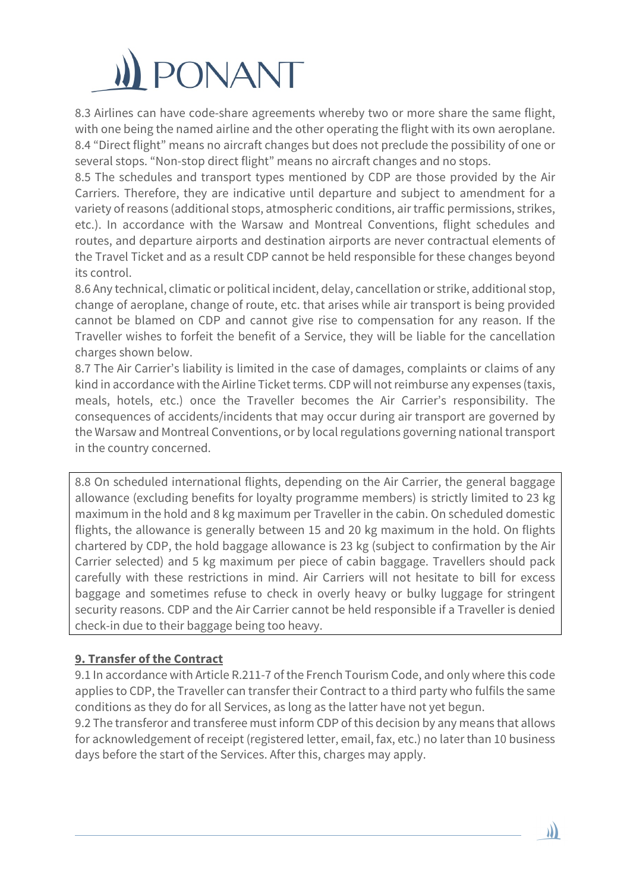

8.3 Airlines can have code-share agreements whereby two or more share the same flight, with one being the named airline and the other operating the flight with its own aeroplane. 8.4 "Direct flight" means no aircraft changes but does not preclude the possibility of one or several stops. "Non-stop direct flight" means no aircraft changes and no stops.

8.5 The schedules and transport types mentioned by CDP are those provided by the Air Carriers. Therefore, they are indicative until departure and subject to amendment for a variety of reasons (additional stops, atmospheric conditions, air traffic permissions, strikes, etc.). In accordance with the Warsaw and Montreal Conventions, flight schedules and routes, and departure airports and destination airports are never contractual elements of the Travel Ticket and as a result CDP cannot be held responsible for these changes beyond its control.

8.6 Any technical, climatic or political incident, delay, cancellation or strike, additional stop, change of aeroplane, change of route, etc. that arises while air transport is being provided cannot be blamed on CDP and cannot give rise to compensation for any reason. If the Traveller wishes to forfeit the benefit of a Service, they will be liable for the cancellation charges shown below.

8.7 The Air Carrier's liability is limited in the case of damages, complaints or claims of any kind in accordance with the Airline Ticket terms. CDP will not reimburse any expenses (taxis, meals, hotels, etc.) once the Traveller becomes the Air Carrier's responsibility. The consequences of accidents/incidents that may occur during air transport are governed by the Warsaw and Montreal Conventions, or by local regulations governing national transport in the country concerned.

8.8 On scheduled international flights, depending on the Air Carrier, the general baggage allowance (excluding benefits for loyalty programme members) is strictly limited to 23 kg maximum in the hold and 8 kg maximum per Traveller in the cabin. On scheduled domestic flights, the allowance is generally between 15 and 20 kg maximum in the hold. On flights chartered by CDP, the hold baggage allowance is 23 kg (subject to confirmation by the Air Carrier selected) and 5 kg maximum per piece of cabin baggage. Travellers should pack carefully with these restrictions in mind. Air Carriers will not hesitate to bill for excess baggage and sometimes refuse to check in overly heavy or bulky luggage for stringent security reasons. CDP and the Air Carrier cannot be held responsible if a Traveller is denied check-in due to their baggage being too heavy.

#### **9. Transfer of the Contract**

9.1 In accordance with Article R.211-7 of the French Tourism Code, and only where this code applies to CDP, the Traveller can transfer their Contract to a third party who fulfils the same conditions as they do for all Services, as long as the latter have not yet begun.

9.2 The transferor and transferee must inform CDP of this decision by any means that allows for acknowledgement of receipt (registered letter, email, fax, etc.) no later than 10 business days before the start of the Services. After this, charges may apply.

)))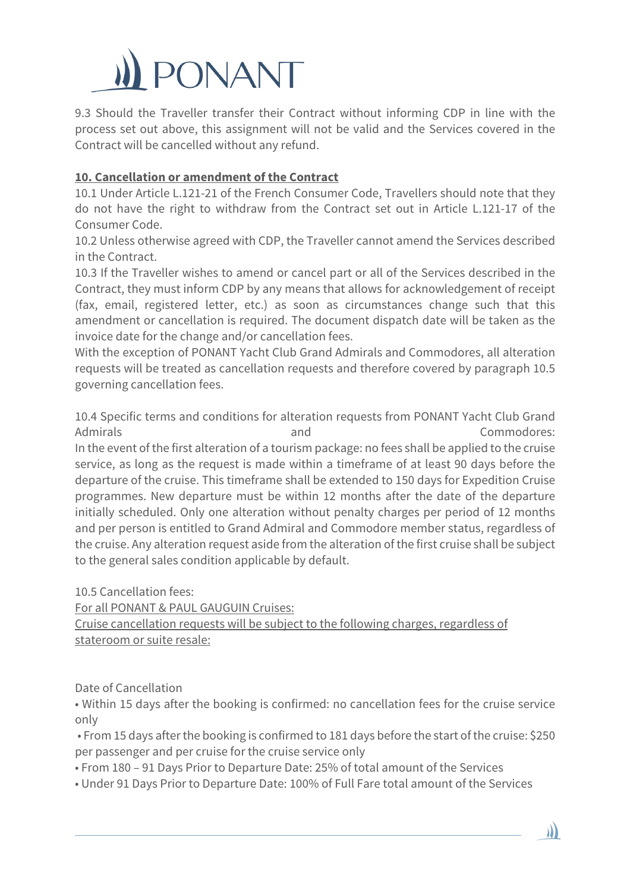# **ONANT**

9.3 Should the Traveller transfer their Contract without informing CDP in line with the process set out above, this assignment will not be valid and the Services covered in the Contract will be cancelled without any refund.

# **10. Cancellation or amendment of the Contract**

10.1 Under Article L.121-21 of the French Consumer Code, Travellers should note that they do not have the right to withdraw from the Contract set out in Article L.121-17 of the Consumer Code.

10.2 Unless otherwise agreed with CDP, the Traveller cannot amend the Services described in the Contract.

10.3 If the Traveller wishes to amend or cancel part or all of the Services described in the Contract, they must inform CDP by any means that allows for acknowledgement of receipt (fax, email, registered letter, etc.) as soon as circumstances change such that this amendment or cancellation is required. The document dispatch date will be taken as the invoice date for the change and/or cancellation fees.

With the exception of PONANT Yacht Club Grand Admirals and Commodores, all alteration requests will be treated as cancellation requests and therefore covered by paragraph 10.5 governing cancellation fees.

10.4 Specific terms and conditions for alteration requests from PONANT Yacht Club Grand Admirals **and Commodores:** In the event of the first alteration of a tourism package: no fees shall be applied to the cruise service, as long as the request is made within a timeframe of at least 90 days before the departure of the cruise. This timeframe shall be extended to 150 days for Expedition Cruise programmes. New departure must be within 12 months after the date of the departure initially scheduled. Only one alteration without penalty charges per period of 12 months and per person is entitled to Grand Admiral and Commodore member status, regardless of the cruise. Any alteration request aside from the alteration of the first cruise shall be subject to the general sales condition applicable by default.

10.5 Cancellation fees:

For all PONANT & PAUL GAUGUIN Cruises:

Cruise cancellation requests will be subject to the following charges, regardless of stateroom or suite resale:

Date of Cancellation

• Within 15 days after the booking is confirmed: no cancellation fees for the cruise service only

• From 15 days after the booking is confirmed to 181 days before the start of the cruise: \$250 per passenger and per cruise for the cruise service only

)))

• From 180 – 91 Days Prior to Departure Date: 25% of total amount of the Services

• Under 91 Days Prior to Departure Date: 100% of Full Fare total amount of the Services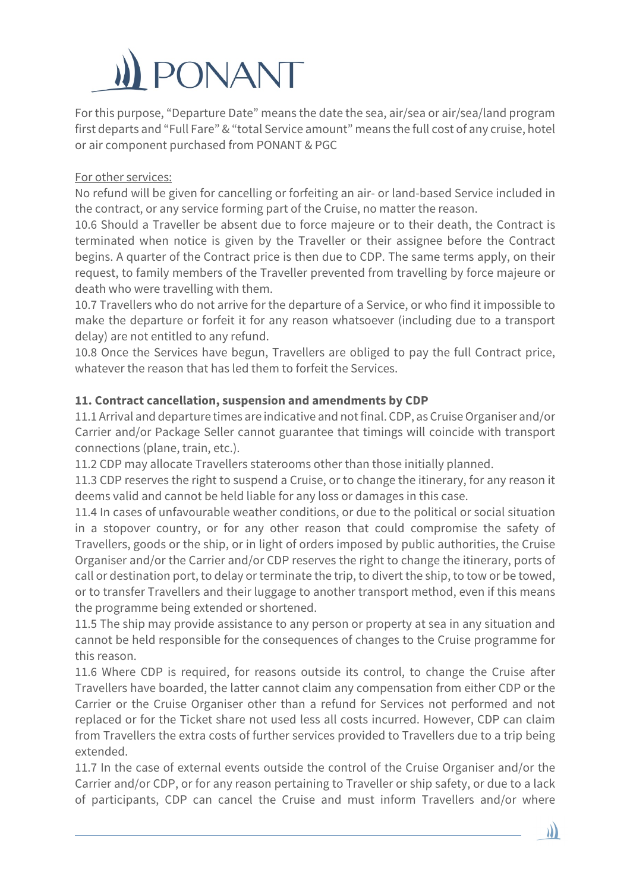# ONANT

For this purpose, "Departure Date" means the date the sea, air/sea or air/sea/land program first departs and "Full Fare" & "total Service amount" means the full cost of any cruise, hotel or air component purchased from PONANT & PGC

# For other services:

No refund will be given for cancelling or forfeiting an air- or land-based Service included in the contract, or any service forming part of the Cruise, no matter the reason.

10.6 Should a Traveller be absent due to force majeure or to their death, the Contract is terminated when notice is given by the Traveller or their assignee before the Contract begins. A quarter of the Contract price is then due to CDP. The same terms apply, on their request, to family members of the Traveller prevented from travelling by force majeure or death who were travelling with them.

10.7 Travellers who do not arrive for the departure of a Service, or who find it impossible to make the departure or forfeit it for any reason whatsoever (including due to a transport delay) are not entitled to any refund.

10.8 Once the Services have begun, Travellers are obliged to pay the full Contract price, whatever the reason that has led them to forfeit the Services.

# **11. Contract cancellation, suspension and amendments by CDP**

11.1 Arrival and departure times are indicative and not final. CDP, as Cruise Organiser and/or Carrier and/or Package Seller cannot guarantee that timings will coincide with transport connections (plane, train, etc.).

11.2 CDP may allocate Travellers staterooms other than those initially planned.

11.3 CDP reserves the right to suspend a Cruise, or to change the itinerary, for any reason it deems valid and cannot be held liable for any loss or damages in this case.

11.4 In cases of unfavourable weather conditions, or due to the political or social situation in a stopover country, or for any other reason that could compromise the safety of Travellers, goods or the ship, or in light of orders imposed by public authorities, the Cruise Organiser and/or the Carrier and/or CDP reserves the right to change the itinerary, ports of call or destination port, to delay or terminate the trip, to divert the ship, to tow or be towed, or to transfer Travellers and their luggage to another transport method, even if this means the programme being extended or shortened.

11.5 The ship may provide assistance to any person or property at sea in any situation and cannot be held responsible for the consequences of changes to the Cruise programme for this reason.

11.6 Where CDP is required, for reasons outside its control, to change the Cruise after Travellers have boarded, the latter cannot claim any compensation from either CDP or the Carrier or the Cruise Organiser other than a refund for Services not performed and not replaced or for the Ticket share not used less all costs incurred. However, CDP can claim from Travellers the extra costs of further services provided to Travellers due to a trip being extended.

11.7 In the case of external events outside the control of the Cruise Organiser and/or the Carrier and/or CDP, or for any reason pertaining to Traveller or ship safety, or due to a lack of participants, CDP can cancel the Cruise and must inform Travellers and/or where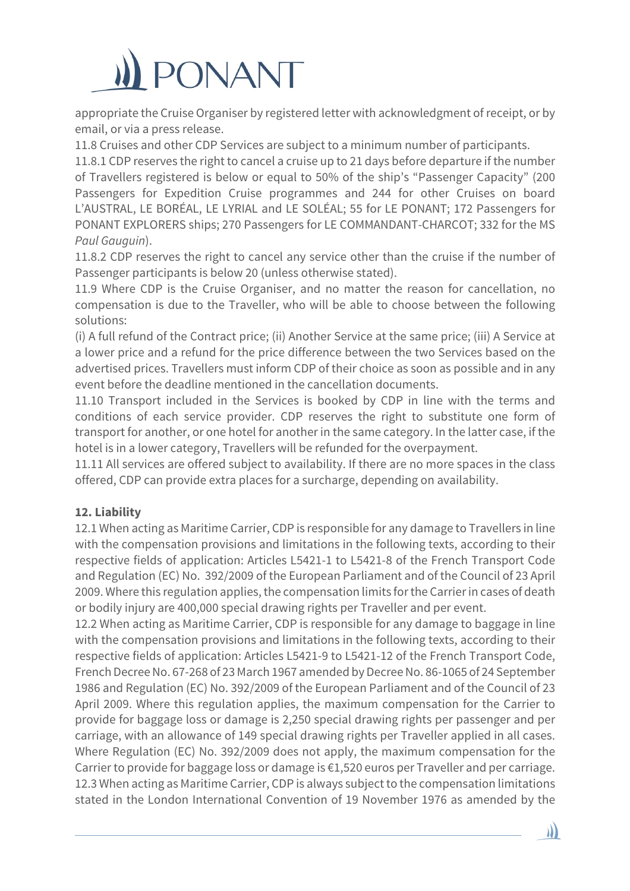# **PONANT**

appropriate the Cruise Organiser by registered letter with acknowledgment of receipt, or by email, or via a press release.

11.8 Cruises and other CDP Services are subject to a minimum number of participants.

11.8.1 CDP reserves the right to cancel a cruise up to 21 days before departure if the number of Travellers registered is below or equal to 50% of the ship's "Passenger Capacity" (200 Passengers for Expedition Cruise programmes and 244 for other Cruises on board L'AUSTRAL, LE BORÉAL, LE LYRIAL and LE SOLÉAL; 55 for LE PONANT; 172 Passengers for PONANT EXPLORERS ships; 270 Passengers for LE COMMANDANT-CHARCOT; 332 for the MS *Paul Gauguin*).

11.8.2 CDP reserves the right to cancel any service other than the cruise if the number of Passenger participants is below 20 (unless otherwise stated).

11.9 Where CDP is the Cruise Organiser, and no matter the reason for cancellation, no compensation is due to the Traveller, who will be able to choose between the following solutions:

(i) A full refund of the Contract price; (ii) Another Service at the same price; (iii) A Service at a lower price and a refund for the price difference between the two Services based on the advertised prices. Travellers must inform CDP of their choice as soon as possible and in any event before the deadline mentioned in the cancellation documents.

11.10 Transport included in the Services is booked by CDP in line with the terms and conditions of each service provider. CDP reserves the right to substitute one form of transport for another, or one hotel for another in the same category. In the latter case, if the hotel is in a lower category, Travellers will be refunded for the overpayment.

11.11 All services are offered subject to availability. If there are no more spaces in the class offered, CDP can provide extra places for a surcharge, depending on availability.

# **12. Liability**

12.1 When acting as Maritime Carrier, CDP is responsible for any damage to Travellers in line with the compensation provisions and limitations in the following texts, according to their respective fields of application: Articles L5421-1 to L5421-8 of the French Transport Code and Regulation (EC) No. 392/2009 of the European Parliament and of the Council of 23 April 2009. Where this regulation applies, the compensation limits for the Carrier in cases of death or bodily injury are 400,000 special drawing rights per Traveller and per event.

12.2 When acting as Maritime Carrier, CDP is responsible for any damage to baggage in line with the compensation provisions and limitations in the following texts, according to their respective fields of application: Articles L5421-9 to L5421-12 of the French Transport Code, French Decree No. 67-268 of 23 March 1967 amended by Decree No. 86-1065 of 24 September 1986 and Regulation (EC) No. 392/2009 of the European Parliament and of the Council of 23 April 2009. Where this regulation applies, the maximum compensation for the Carrier to provide for baggage loss or damage is 2,250 special drawing rights per passenger and per carriage, with an allowance of 149 special drawing rights per Traveller applied in all cases. Where Regulation (EC) No. 392/2009 does not apply, the maximum compensation for the Carrier to provide for baggage loss or damage is €1,520 euros per Traveller and per carriage. 12.3 When acting as Maritime Carrier, CDP is always subject to the compensation limitations stated in the London International Convention of 19 November 1976 as amended by the

))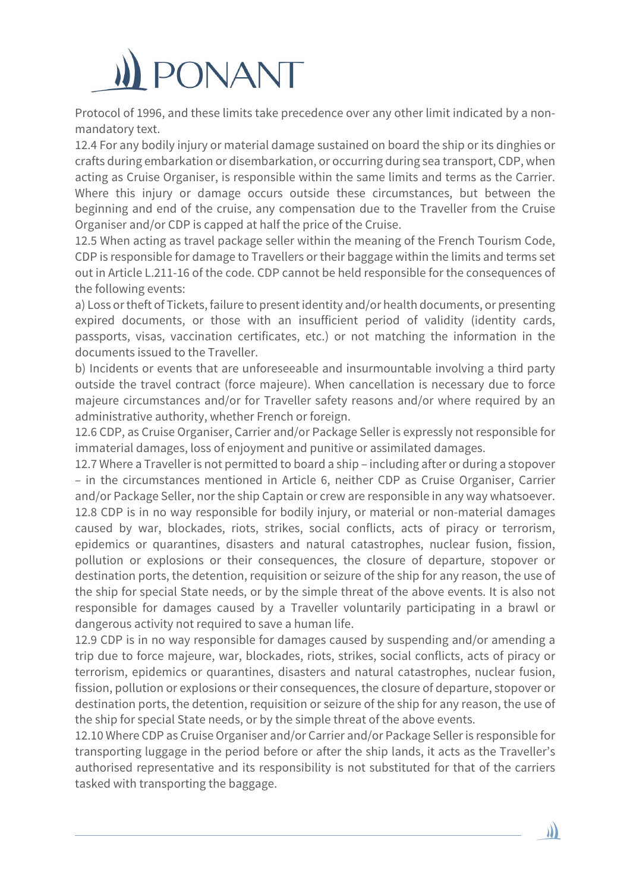# ONANT

Protocol of 1996, and these limits take precedence over any other limit indicated by a nonmandatory text.

12.4 For any bodily injury or material damage sustained on board the ship or its dinghies or crafts during embarkation or disembarkation, or occurring during sea transport, CDP, when acting as Cruise Organiser, is responsible within the same limits and terms as the Carrier. Where this injury or damage occurs outside these circumstances, but between the beginning and end of the cruise, any compensation due to the Traveller from the Cruise Organiser and/or CDP is capped at half the price of the Cruise.

12.5 When acting as travel package seller within the meaning of the French Tourism Code, CDP is responsible for damage to Travellers or their baggage within the limits and terms set out in Article L.211-16 of the code. CDP cannot be held responsible for the consequences of the following events:

a) Loss or theft of Tickets, failure to present identity and/or health documents, or presenting expired documents, or those with an insufficient period of validity (identity cards, passports, visas, vaccination certificates, etc.) or not matching the information in the documents issued to the Traveller.

b) Incidents or events that are unforeseeable and insurmountable involving a third party outside the travel contract (force majeure). When cancellation is necessary due to force majeure circumstances and/or for Traveller safety reasons and/or where required by an administrative authority, whether French or foreign.

12.6 CDP, as Cruise Organiser, Carrier and/or Package Seller is expressly not responsible for immaterial damages, loss of enjoyment and punitive or assimilated damages.

12.7 Where a Traveller is not permitted to board a ship – including after or during a stopover – in the circumstances mentioned in Article 6, neither CDP as Cruise Organiser, Carrier and/or Package Seller, nor the ship Captain or crew are responsible in any way whatsoever. 12.8 CDP is in no way responsible for bodily injury, or material or non-material damages caused by war, blockades, riots, strikes, social conflicts, acts of piracy or terrorism, epidemics or quarantines, disasters and natural catastrophes, nuclear fusion, fission, pollution or explosions or their consequences, the closure of departure, stopover or destination ports, the detention, requisition or seizure of the ship for any reason, the use of the ship for special State needs, or by the simple threat of the above events. It is also not responsible for damages caused by a Traveller voluntarily participating in a brawl or dangerous activity not required to save a human life.

12.9 CDP is in no way responsible for damages caused by suspending and/or amending a trip due to force majeure, war, blockades, riots, strikes, social conflicts, acts of piracy or terrorism, epidemics or quarantines, disasters and natural catastrophes, nuclear fusion, fission, pollution or explosions or their consequences, the closure of departure, stopover or destination ports, the detention, requisition or seizure of the ship for any reason, the use of the ship for special State needs, or by the simple threat of the above events.

12.10 Where CDP as Cruise Organiser and/or Carrier and/or Package Seller is responsible for transporting luggage in the period before or after the ship lands, it acts as the Traveller's authorised representative and its responsibility is not substituted for that of the carriers tasked with transporting the baggage.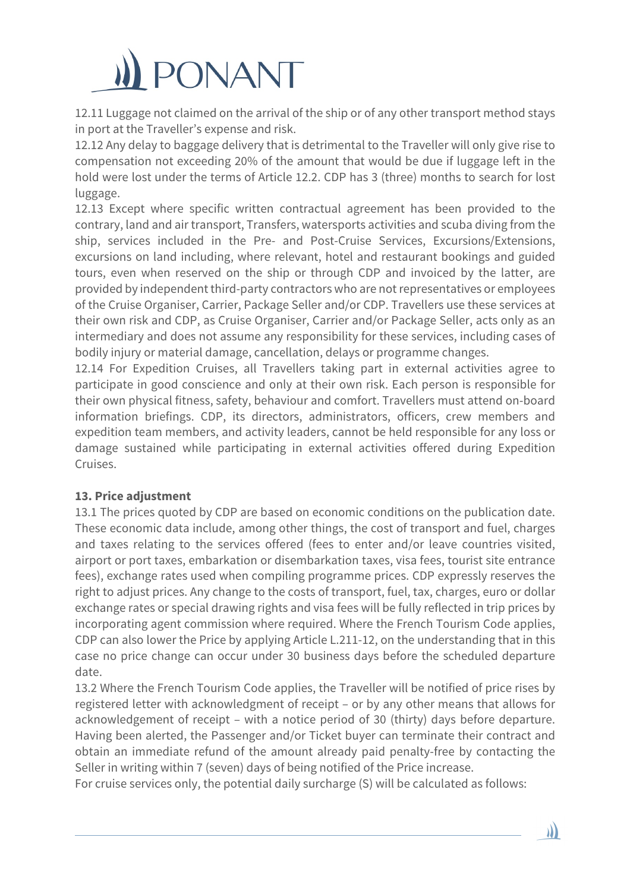

12.11 Luggage not claimed on the arrival of the ship or of any other transport method stays in port at the Traveller's expense and risk.

12.12 Any delay to baggage delivery that is detrimental to the Traveller will only give rise to compensation not exceeding 20% of the amount that would be due if luggage left in the hold were lost under the terms of Article 12.2. CDP has 3 (three) months to search for lost luggage.

12.13 Except where specific written contractual agreement has been provided to the contrary, land and air transport, Transfers, watersports activities and scuba diving from the ship, services included in the Pre- and Post-Cruise Services, Excursions/Extensions, excursions on land including, where relevant, hotel and restaurant bookings and guided tours, even when reserved on the ship or through CDP and invoiced by the latter, are provided by independent third-party contractors who are not representatives or employees of the Cruise Organiser, Carrier, Package Seller and/or CDP. Travellers use these services at their own risk and CDP, as Cruise Organiser, Carrier and/or Package Seller, acts only as an intermediary and does not assume any responsibility for these services, including cases of bodily injury or material damage, cancellation, delays or programme changes.

12.14 For Expedition Cruises, all Travellers taking part in external activities agree to participate in good conscience and only at their own risk. Each person is responsible for their own physical fitness, safety, behaviour and comfort. Travellers must attend on-board information briefings. CDP, its directors, administrators, officers, crew members and expedition team members, and activity leaders, cannot be held responsible for any loss or damage sustained while participating in external activities offered during Expedition Cruises.

#### **13. Price adjustment**

13.1 The prices quoted by CDP are based on economic conditions on the publication date. These economic data include, among other things, the cost of transport and fuel, charges and taxes relating to the services offered (fees to enter and/or leave countries visited, airport or port taxes, embarkation or disembarkation taxes, visa fees, tourist site entrance fees), exchange rates used when compiling programme prices. CDP expressly reserves the right to adjust prices. Any change to the costs of transport, fuel, tax, charges, euro or dollar exchange rates or special drawing rights and visa fees will be fully reflected in trip prices by incorporating agent commission where required. Where the French Tourism Code applies, CDP can also lower the Price by applying Article L.211-12, on the understanding that in this case no price change can occur under 30 business days before the scheduled departure date.

13.2 Where the French Tourism Code applies, the Traveller will be notified of price rises by registered letter with acknowledgment of receipt – or by any other means that allows for acknowledgement of receipt – with a notice period of 30 (thirty) days before departure. Having been alerted, the Passenger and/or Ticket buyer can terminate their contract and obtain an immediate refund of the amount already paid penalty-free by contacting the Seller in writing within 7 (seven) days of being notified of the Price increase.

 $\mathbf{y}$ 

For cruise services only, the potential daily surcharge (S) will be calculated as follows: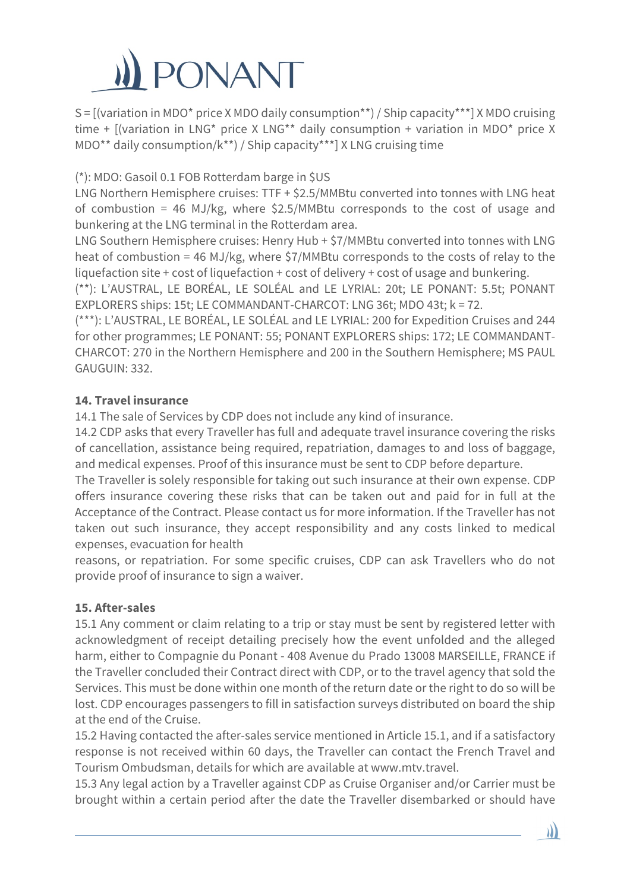

S = [(variation in MDO\* price X MDO daily consumption\*\*) / Ship capacity\*\*\*] X MDO cruising time + [(variation in LNG\* price X LNG\*\* daily consumption + variation in MDO\* price X MDO\*\* daily consumption/k\*\*) / Ship capacity\*\*\*] X LNG cruising time

(\*): MDO: Gasoil 0.1 FOB Rotterdam barge in \$US

LNG Northern Hemisphere cruises: TTF + \$2.5/MMBtu converted into tonnes with LNG heat of combustion = 46 MJ/kg, where \$2.5/MMBtu corresponds to the cost of usage and bunkering at the LNG terminal in the Rotterdam area.

LNG Southern Hemisphere cruises: Henry Hub + \$7/MMBtu converted into tonnes with LNG heat of combustion = 46 MJ/kg, where \$7/MMBtu corresponds to the costs of relay to the liquefaction site + cost of liquefaction + cost of delivery + cost of usage and bunkering.

(\*\*): L'AUSTRAL, LE BORÉAL, LE SOLÉAL and LE LYRIAL: 20t; LE PONANT: 5.5t; PONANT EXPLORERS ships: 15t; LE COMMANDANT-CHARCOT: LNG 36t; MDO 43t; k = 72.

(\*\*\*): L'AUSTRAL, LE BORÉAL, LE SOLÉAL and LE LYRIAL: 200 for Expedition Cruises and 244 for other programmes; LE PONANT: 55; PONANT EXPLORERS ships: 172; LE COMMANDANT-CHARCOT: 270 in the Northern Hemisphere and 200 in the Southern Hemisphere; MS PAUL GAUGUIN: 332.

# **14. Travel insurance**

14.1 The sale of Services by CDP does not include any kind of insurance.

14.2 CDP asks that every Traveller has full and adequate travel insurance covering the risks of cancellation, assistance being required, repatriation, damages to and loss of baggage, and medical expenses. Proof of this insurance must be sent to CDP before departure.

The Traveller is solely responsible for taking out such insurance at their own expense. CDP offers insurance covering these risks that can be taken out and paid for in full at the Acceptance of the Contract. Please contact us for more information. If the Traveller has not taken out such insurance, they accept responsibility and any costs linked to medical expenses, evacuation for health

reasons, or repatriation. For some specific cruises, CDP can ask Travellers who do not provide proof of insurance to sign a waiver.

# **15. After-sales**

15.1 Any comment or claim relating to a trip or stay must be sent by registered letter with acknowledgment of receipt detailing precisely how the event unfolded and the alleged harm, either to Compagnie du Ponant - 408 Avenue du Prado 13008 MARSEILLE, FRANCE if the Traveller concluded their Contract direct with CDP, or to the travel agency that sold the Services. This must be done within one month of the return date or the right to do so will be lost. CDP encourages passengers to fill in satisfaction surveys distributed on board the ship at the end of the Cruise.

15.2 Having contacted the after-sales service mentioned in Article 15.1, and if a satisfactory response is not received within 60 days, the Traveller can contact the French Travel and Tourism Ombudsman, details for which are available at www.mtv.travel.

15.3 Any legal action by a Traveller against CDP as Cruise Organiser and/or Carrier must be brought within a certain period after the date the Traveller disembarked or should have

I)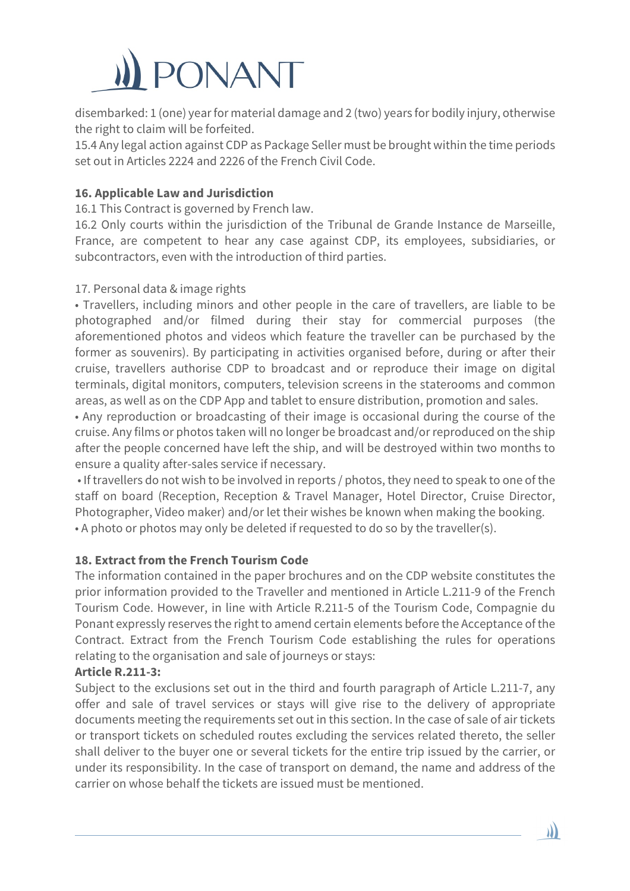

disembarked: 1 (one) year for material damage and 2 (two) years for bodily injury, otherwise the right to claim will be forfeited.

15.4 Any legal action against CDP as Package Seller must be brought within the time periods set out in Articles 2224 and 2226 of the French Civil Code.

# **16. Applicable Law and Jurisdiction**

16.1 This Contract is governed by French law.

16.2 Only courts within the jurisdiction of the Tribunal de Grande Instance de Marseille, France, are competent to hear any case against CDP, its employees, subsidiaries, or subcontractors, even with the introduction of third parties.

#### 17. Personal data & image rights

• Travellers, including minors and other people in the care of travellers, are liable to be photographed and/or filmed during their stay for commercial purposes (the aforementioned photos and videos which feature the traveller can be purchased by the former as souvenirs). By participating in activities organised before, during or after their cruise, travellers authorise CDP to broadcast and or reproduce their image on digital terminals, digital monitors, computers, television screens in the staterooms and common areas, as well as on the CDP App and tablet to ensure distribution, promotion and sales.

• Any reproduction or broadcasting of their image is occasional during the course of the cruise. Any films or photos taken will no longer be broadcast and/or reproduced on the ship after the people concerned have left the ship, and will be destroyed within two months to ensure a quality after-sales service if necessary.

• If travellers do not wish to be involved in reports / photos, they need to speak to one of the staff on board (Reception, Reception & Travel Manager, Hotel Director, Cruise Director, Photographer, Video maker) and/or let their wishes be known when making the booking. • A photo or photos may only be deleted if requested to do so by the traveller(s).

#### **18. Extract from the French Tourism Code**

The information contained in the paper brochures and on the CDP website constitutes the prior information provided to the Traveller and mentioned in Article L.211-9 of the French Tourism Code. However, in line with Article R.211-5 of the Tourism Code, Compagnie du Ponant expressly reserves the right to amend certain elements before the Acceptance of the Contract. Extract from the French Tourism Code establishing the rules for operations relating to the organisation and sale of journeys or stays:

### **Article R.211-3:**

Subject to the exclusions set out in the third and fourth paragraph of Article L.211-7, any offer and sale of travel services or stays will give rise to the delivery of appropriate documents meeting the requirements set out in this section. In the case of sale of air tickets or transport tickets on scheduled routes excluding the services related thereto, the seller shall deliver to the buyer one or several tickets for the entire trip issued by the carrier, or under its responsibility. In the case of transport on demand, the name and address of the carrier on whose behalf the tickets are issued must be mentioned.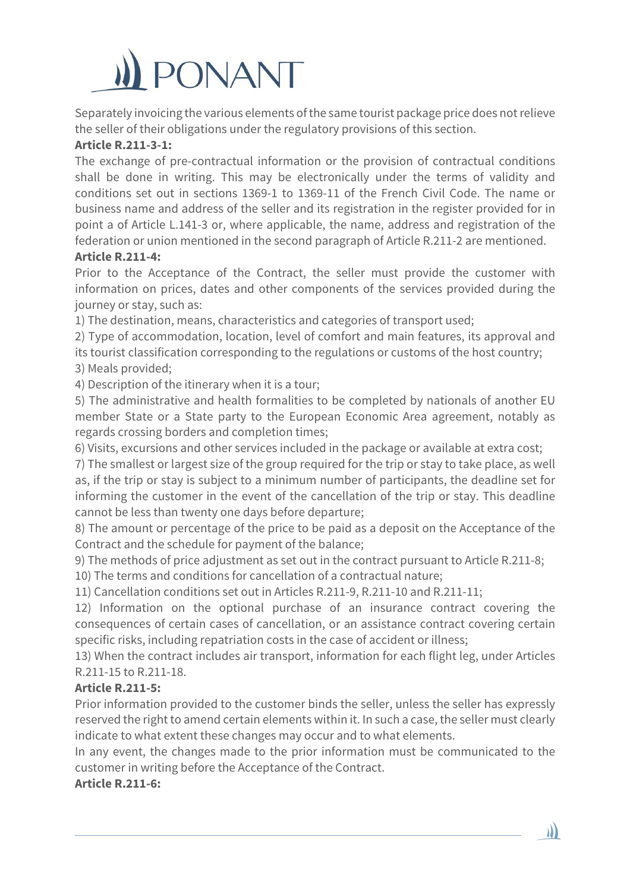

Separately invoicing the various elements of the same tourist package price does not relieve the seller of their obligations under the regulatory provisions of this section.

### **Article R.211-3-1:**

The exchange of pre-contractual information or the provision of contractual conditions shall be done in writing. This may be electronically under the terms of validity and conditions set out in sections 1369-1 to 1369-11 of the French Civil Code. The name or business name and address of the seller and its registration in the register provided for in point a of Article L.141-3 or, where applicable, the name, address and registration of the federation or union mentioned in the second paragraph of Article R.211-2 are mentioned.

#### **Article R.211-4:**

Prior to the Acceptance of the Contract, the seller must provide the customer with information on prices, dates and other components of the services provided during the journey or stay, such as:

1) The destination, means, characteristics and categories of transport used;

2) Type of accommodation, location, level of comfort and main features, its approval and its tourist classification corresponding to the regulations or customs of the host country; 3) Meals provided;

4) Description of the itinerary when it is a tour;

5) The administrative and health formalities to be completed by nationals of another EU member State or a State party to the European Economic Area agreement, notably as regards crossing borders and completion times;

6) Visits, excursions and other services included in the package or available at extra cost;

7) The smallest or largest size of the group required for the trip or stay to take place, as well as, if the trip or stay is subject to a minimum number of participants, the deadline set for informing the customer in the event of the cancellation of the trip or stay. This deadline cannot be less than twenty one days before departure;

8) The amount or percentage of the price to be paid as a deposit on the Acceptance of the Contract and the schedule for payment of the balance;

9) The methods of price adjustment as set out in the contract pursuant to Article R.211-8;

10) The terms and conditions for cancellation of a contractual nature;

11) Cancellation conditions set out in Articles R.211-9, R.211-10 and R.211-11;

12) Information on the optional purchase of an insurance contract covering the consequences of certain cases of cancellation, or an assistance contract covering certain specific risks, including repatriation costs in the case of accident or illness;

13) When the contract includes air transport, information for each flight leg, under Articles R.211-15 to R.211-18.

#### **Article R.211-5:**

Prior information provided to the customer binds the seller, unless the seller has expressly reserved the right to amend certain elements within it. In such a case, the seller must clearly indicate to what extent these changes may occur and to what elements.

In any event, the changes made to the prior information must be communicated to the customer in writing before the Acceptance of the Contract.

**Article R.211-6:**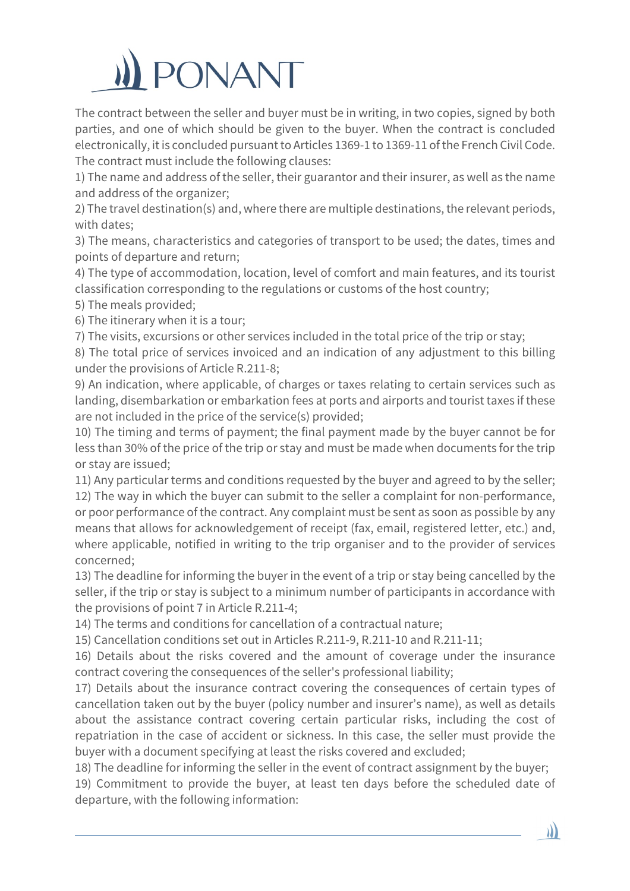

The contract between the seller and buyer must be in writing, in two copies, signed by both parties, and one of which should be given to the buyer. When the contract is concluded electronically, it is concluded pursuant to Articles 1369-1 to 1369-11 of the French Civil Code. The contract must include the following clauses:

1) The name and address of the seller, their guarantor and their insurer, as well as the name and address of the organizer;

2) The travel destination(s) and, where there are multiple destinations, the relevant periods, with dates;

3) The means, characteristics and categories of transport to be used; the dates, times and points of departure and return;

4) The type of accommodation, location, level of comfort and main features, and its tourist classification corresponding to the regulations or customs of the host country;

5) The meals provided;

6) The itinerary when it is a tour;

7) The visits, excursions or other services included in the total price of the trip or stay;

8) The total price of services invoiced and an indication of any adjustment to this billing under the provisions of Article R.211-8;

9) An indication, where applicable, of charges or taxes relating to certain services such as landing, disembarkation or embarkation fees at ports and airports and tourist taxes if these are not included in the price of the service(s) provided;

10) The timing and terms of payment; the final payment made by the buyer cannot be for less than 30% of the price of the trip or stay and must be made when documents for the trip or stay are issued;

11) Any particular terms and conditions requested by the buyer and agreed to by the seller; 12) The way in which the buyer can submit to the seller a complaint for non-performance, or poor performance of the contract. Any complaint must be sent as soon as possible by any means that allows for acknowledgement of receipt (fax, email, registered letter, etc.) and, where applicable, notified in writing to the trip organiser and to the provider of services concerned;

13) The deadline for informing the buyer in the event of a trip or stay being cancelled by the seller, if the trip or stay is subject to a minimum number of participants in accordance with the provisions of point 7 in Article R.211-4;

14) The terms and conditions for cancellation of a contractual nature;

15) Cancellation conditions set out in Articles R.211-9, R.211-10 and R.211-11;

16) Details about the risks covered and the amount of coverage under the insurance contract covering the consequences of the seller's professional liability;

17) Details about the insurance contract covering the consequences of certain types of cancellation taken out by the buyer (policy number and insurer's name), as well as details about the assistance contract covering certain particular risks, including the cost of repatriation in the case of accident or sickness. In this case, the seller must provide the buyer with a document specifying at least the risks covered and excluded;

18) The deadline for informing the seller in the event of contract assignment by the buyer;

19) Commitment to provide the buyer, at least ten days before the scheduled date of departure, with the following information: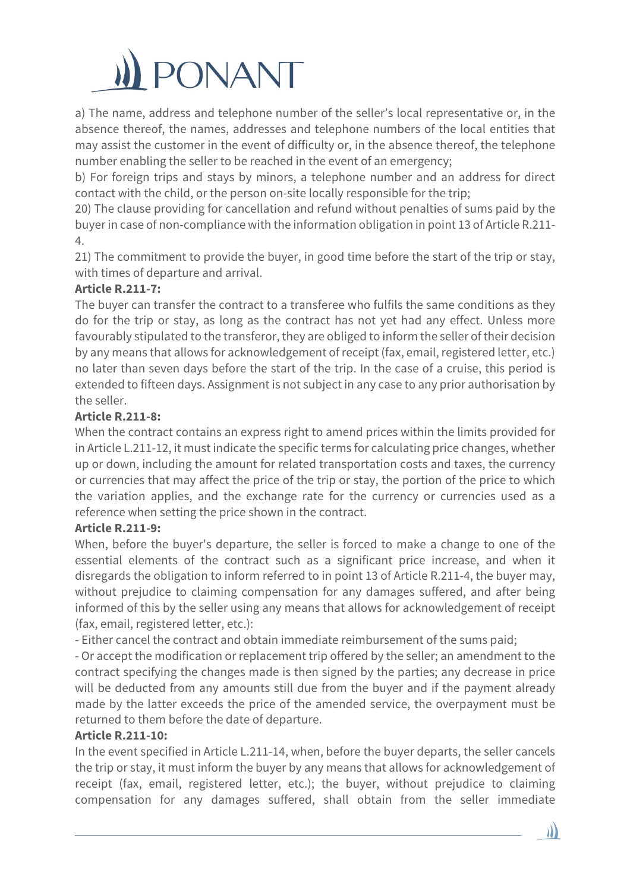

a) The name, address and telephone number of the seller's local representative or, in the absence thereof, the names, addresses and telephone numbers of the local entities that may assist the customer in the event of difficulty or, in the absence thereof, the telephone number enabling the seller to be reached in the event of an emergency;

b) For foreign trips and stays by minors, a telephone number and an address for direct contact with the child, or the person on-site locally responsible for the trip;

20) The clause providing for cancellation and refund without penalties of sums paid by the buyer in case of non-compliance with the information obligation in point 13 of Article R.211- 4.

21) The commitment to provide the buyer, in good time before the start of the trip or stay, with times of departure and arrival.

### **Article R.211-7:**

The buyer can transfer the contract to a transferee who fulfils the same conditions as they do for the trip or stay, as long as the contract has not yet had any effect. Unless more favourably stipulated to the transferor, they are obliged to inform the seller of their decision by any means that allows for acknowledgement of receipt (fax, email, registered letter, etc.) no later than seven days before the start of the trip. In the case of a cruise, this period is extended to fifteen days. Assignment is not subject in any case to any prior authorisation by the seller.

### **Article R.211-8:**

When the contract contains an express right to amend prices within the limits provided for in Article L.211-12, it must indicate the specific terms for calculating price changes, whether up or down, including the amount for related transportation costs and taxes, the currency or currencies that may affect the price of the trip or stay, the portion of the price to which the variation applies, and the exchange rate for the currency or currencies used as a reference when setting the price shown in the contract.

#### **Article R.211-9:**

When, before the buyer's departure, the seller is forced to make a change to one of the essential elements of the contract such as a significant price increase, and when it disregards the obligation to inform referred to in point 13 of Article R.211-4, the buyer may, without prejudice to claiming compensation for any damages suffered, and after being informed of this by the seller using any means that allows for acknowledgement of receipt (fax, email, registered letter, etc.):

- Either cancel the contract and obtain immediate reimbursement of the sums paid;

- Or accept the modification or replacement trip offered by the seller; an amendment to the contract specifying the changes made is then signed by the parties; any decrease in price will be deducted from any amounts still due from the buyer and if the payment already made by the latter exceeds the price of the amended service, the overpayment must be returned to them before the date of departure.

#### **Article R.211-10:**

In the event specified in Article L.211-14, when, before the buyer departs, the seller cancels the trip or stay, it must inform the buyer by any means that allows for acknowledgement of receipt (fax, email, registered letter, etc.); the buyer, without prejudice to claiming compensation for any damages suffered, shall obtain from the seller immediate